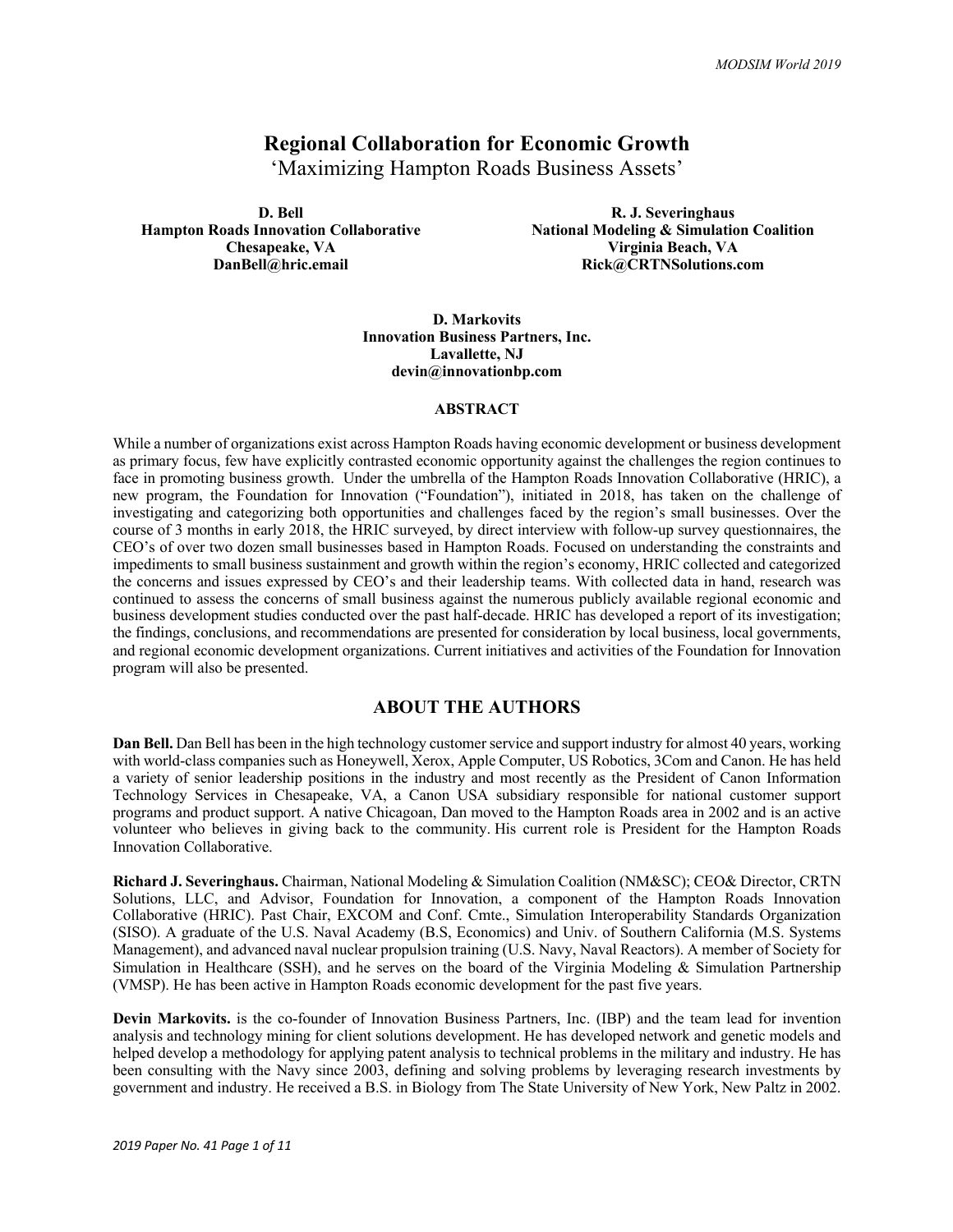# **Regional Collaboration for Economic Growth**

'Maximizing Hampton Roads Business Assets'

**D. Bell Hampton Roads Innovation Collaborative Chesapeake, VA DanBell@hric.email**

**R. J. Severinghaus National Modeling & Simulation Coalition Virginia Beach, VA Rick@CRTNSolutions.com**

**D. Markovits Innovation Business Partners, Inc. Lavallette, NJ devin@innovationbp.com**

#### **ABSTRACT**

While a number of organizations exist across Hampton Roads having economic development or business development as primary focus, few have explicitly contrasted economic opportunity against the challenges the region continues to face in promoting business growth. Under the umbrella of the Hampton Roads Innovation Collaborative (HRIC), a new program, the Foundation for Innovation ("Foundation"), initiated in 2018, has taken on the challenge of investigating and categorizing both opportunities and challenges faced by the region's small businesses. Over the course of 3 months in early 2018, the HRIC surveyed, by direct interview with follow-up survey questionnaires, the CEO's of over two dozen small businesses based in Hampton Roads. Focused on understanding the constraints and impediments to small business sustainment and growth within the region's economy, HRIC collected and categorized the concerns and issues expressed by CEO's and their leadership teams. With collected data in hand, research was continued to assess the concerns of small business against the numerous publicly available regional economic and business development studies conducted over the past half-decade. HRIC has developed a report of its investigation; the findings, conclusions, and recommendations are presented for consideration by local business, local governments, and regional economic development organizations. Current initiatives and activities of the Foundation for Innovation program will also be presented.

#### **ABOUT THE AUTHORS**

**Dan Bell.** Dan Bell has been in the high technology customer service and support industry for almost 40 years, working with world-class companies such as Honeywell, Xerox, Apple Computer, US Robotics, 3Com and Canon. He has held a variety of senior leadership positions in the industry and most recently as the President of Canon Information Technology Services in Chesapeake, VA, a Canon USA subsidiary responsible for national customer support programs and product support. A native Chicagoan, Dan moved to the Hampton Roads area in 2002 and is an active volunteer who believes in giving back to the community. His current role is President for the Hampton Roads Innovation Collaborative.

**Richard J. Severinghaus.** Chairman, National Modeling & Simulation Coalition (NM&SC); CEO& Director, CRTN Solutions, LLC, and Advisor, Foundation for Innovation, a component of the Hampton Roads Innovation Collaborative (HRIC). Past Chair, EXCOM and Conf. Cmte., Simulation Interoperability Standards Organization (SISO). A graduate of the U.S. Naval Academy (B.S, Economics) and Univ. of Southern California (M.S. Systems Management), and advanced naval nuclear propulsion training (U.S. Navy, Naval Reactors). A member of Society for Simulation in Healthcare (SSH), and he serves on the board of the Virginia Modeling & Simulation Partnership (VMSP). He has been active in Hampton Roads economic development for the past five years.

**Devin Markovits.** is the co-founder of Innovation Business Partners, Inc. (IBP) and the team lead for invention analysis and technology mining for client solutions development. He has developed network and genetic models and helped develop a methodology for applying patent analysis to technical problems in the military and industry. He has been consulting with the Navy since 2003, defining and solving problems by leveraging research investments by government and industry. He received a B.S. in Biology from The State University of New York, New Paltz in 2002.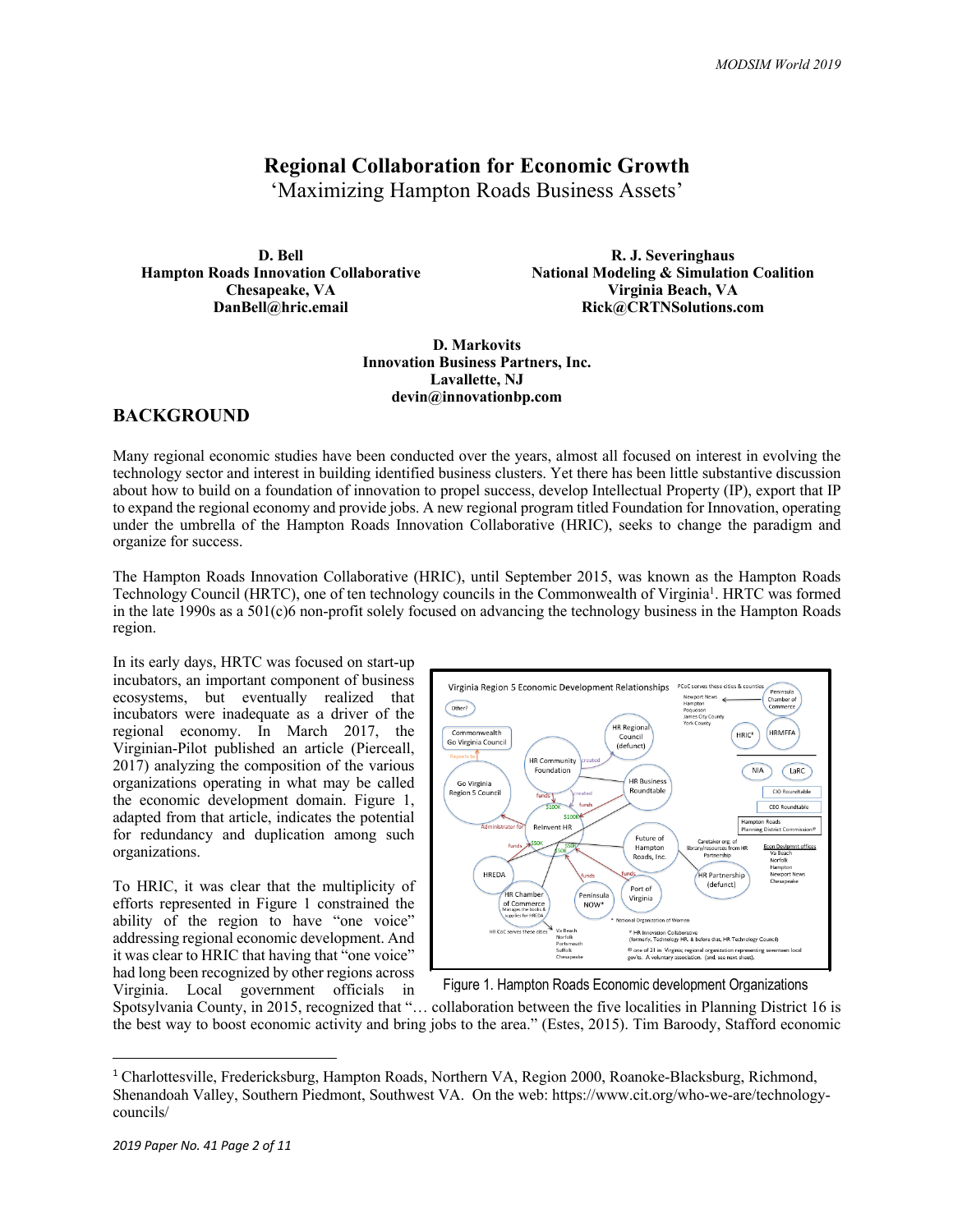# **Regional Collaboration for Economic Growth**

'Maximizing Hampton Roads Business Assets'

**D. Bell Hampton Roads Innovation Collaborative Chesapeake, VA DanBell@hric.email**

**R. J. Severinghaus National Modeling & Simulation Coalition Virginia Beach, VA Rick@CRTNSolutions.com**

**D. Markovits Innovation Business Partners, Inc. Lavallette, NJ devin@innovationbp.com**

# **BACKGROUND**

Many regional economic studies have been conducted over the years, almost all focused on interest in evolving the technology sector and interest in building identified business clusters. Yet there has been little substantive discussion about how to build on a foundation of innovation to propel success, develop Intellectual Property (IP), export that IP to expand the regional economy and provide jobs. A new regional program titled Foundation for Innovation, operating under the umbrella of the Hampton Roads Innovation Collaborative (HRIC), seeks to change the paradigm and organize for success.

The Hampton Roads Innovation Collaborative (HRIC), until September 2015, was known as the Hampton Roads Technology Council (HRTC), one of ten technology councils in the Commonwealth of Virginia<sup>1</sup>. HRTC was formed in the late 1990s as a 501(c)6 non-profit solely focused on advancing the technology business in the Hampton Roads region.

In its early days, HRTC was focused on start-up incubators, an important component of business ecosystems, but eventually realized that incubators were inadequate as a driver of the regional economy. In March 2017, the Virginian-Pilot published an article (Pierceall, 2017) analyzing the composition of the various organizations operating in what may be called the economic development domain. Figure 1, adapted from that article, indicates the potential for redundancy and duplication among such organizations.

To HRIC, it was clear that the multiplicity of efforts represented in Figure 1 constrained the ability of the region to have "one voice" addressing regional economic development. And it was clear to HRIC that having that "one voice" had long been recognized by other regions across Virginia. Local government officials in



Figure 1. Hampton Roads Economic development Organizations

Spotsylvania County, in 2015, recognized that "… collaboration between the five localities in Planning District 16 is the best way to boost economic activity and bring jobs to the area." (Estes, 2015). Tim Baroody, Stafford economic

 <sup>1</sup> Charlottesville, Fredericksburg, Hampton Roads, Northern VA, Region 2000, Roanoke-Blacksburg, Richmond, Shenandoah Valley, Southern Piedmont, Southwest VA. On the web: https://www.cit.org/who-we-are/technologycouncils/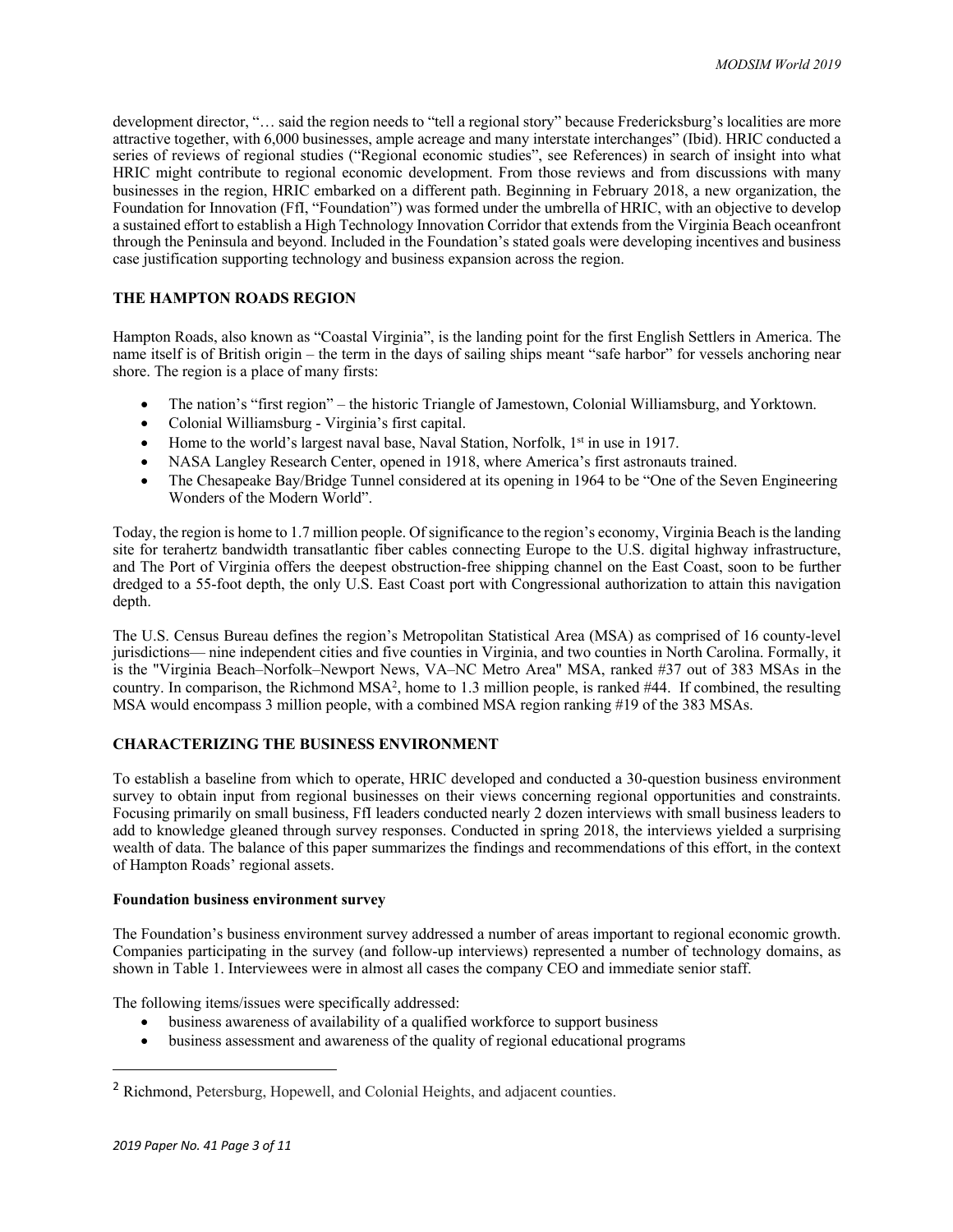development director, "… said the region needs to "tell a regional story" because Fredericksburg's localities are more attractive together, with 6,000 businesses, ample acreage and many interstate interchanges" (Ibid). HRIC conducted a series of reviews of regional studies ("Regional economic studies", see References) in search of insight into what HRIC might contribute to regional economic development. From those reviews and from discussions with many businesses in the region, HRIC embarked on a different path. Beginning in February 2018, a new organization, the Foundation for Innovation (FfI, "Foundation") was formed under the umbrella of HRIC, with an objective to develop a sustained effort to establish a High Technology Innovation Corridor that extends from the Virginia Beach oceanfront through the Peninsula and beyond. Included in the Foundation's stated goals were developing incentives and business case justification supporting technology and business expansion across the region.

### **THE HAMPTON ROADS REGION**

Hampton Roads, also known as "Coastal Virginia", is the landing point for the first English Settlers in America. The name itself is of British origin – the term in the days of sailing ships meant "safe harbor" for vessels anchoring near shore. The region is a place of many firsts:

- The nation's "first region" the historic Triangle of Jamestown, Colonial Williamsburg, and Yorktown.
- Colonial Williamsburg Virginia's first capital.
- Home to the world's largest naval base, Naval Station, Norfolk, 1<sup>st</sup> in use in 1917.
- NASA Langley Research Center, opened in 1918, where America's first astronauts trained.
- The Chesapeake Bay/Bridge Tunnel considered at its opening in 1964 to be "One of the Seven Engineering Wonders of the Modern World".

Today, the region is home to 1.7 million people. Of significance to the region's economy, Virginia Beach is the landing site for terahertz bandwidth transatlantic fiber cables connecting Europe to the U.S. digital highway infrastructure, and The Port of Virginia offers the deepest obstruction-free shipping channel on the East Coast, soon to be further dredged to a 55-foot depth, the only U.S. East Coast port with Congressional authorization to attain this navigation depth.

The U.S. Census Bureau defines the region's Metropolitan Statistical Area (MSA) as comprised of 16 county-level jurisdictions— nine independent cities and five counties in Virginia, and two counties in North Carolina. Formally, it is the "Virginia Beach–Norfolk–Newport News, VA–NC Metro Area" MSA, ranked #37 out of 383 MSAs in the country. In comparison, the Richmond MSA2, home to 1.3 million people, is ranked #44. If combined, the resulting MSA would encompass 3 million people, with a combined MSA region ranking #19 of the 383 MSAs.

# **CHARACTERIZING THE BUSINESS ENVIRONMENT**

To establish a baseline from which to operate, HRIC developed and conducted a 30-question business environment survey to obtain input from regional businesses on their views concerning regional opportunities and constraints. Focusing primarily on small business, FfI leaders conducted nearly 2 dozen interviews with small business leaders to add to knowledge gleaned through survey responses. Conducted in spring 2018, the interviews yielded a surprising wealth of data. The balance of this paper summarizes the findings and recommendations of this effort, in the context of Hampton Roads' regional assets.

#### **Foundation business environment survey**

The Foundation's business environment survey addressed a number of areas important to regional economic growth. Companies participating in the survey (and follow-up interviews) represented a number of technology domains, as shown in Table 1. Interviewees were in almost all cases the company CEO and immediate senior staff.

The following items/issues were specifically addressed:

- business awareness of availability of a qualified workforce to support business
- business assessment and awareness of the quality of regional educational programs

 <sup>2</sup> Richmond, Petersburg, Hopewell, and Colonial Heights, and adjacent counties.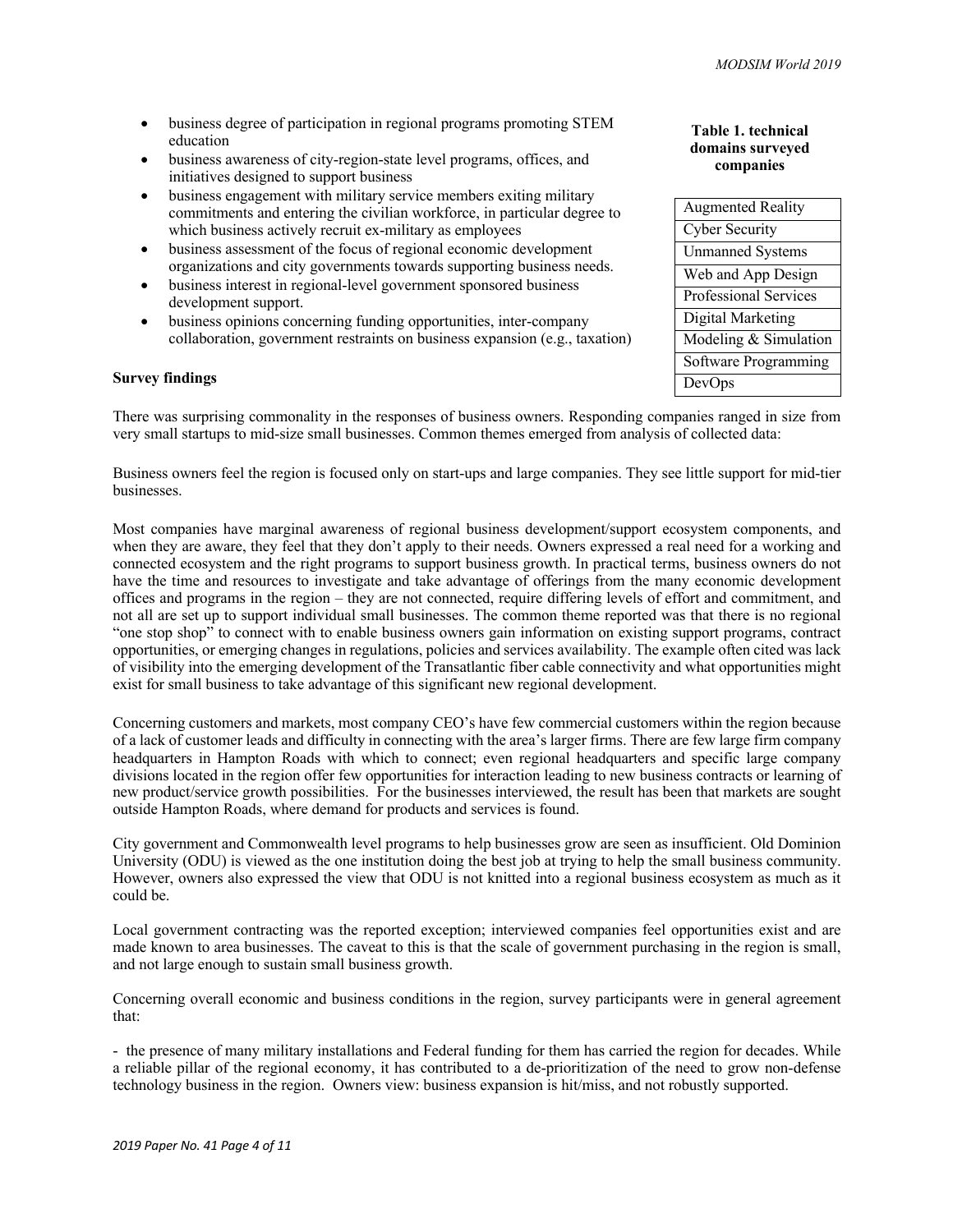- business degree of participation in regional programs promoting STEM education
- business awareness of city-region-state level programs, offices, and initiatives designed to support business
- business engagement with military service members exiting military commitments and entering the civilian workforce, in particular degree to which business actively recruit ex-military as employees
- business assessment of the focus of regional economic development organizations and city governments towards supporting business needs.
- business interest in regional-level government sponsored business development support.
- business opinions concerning funding opportunities, inter-company collaboration, government restraints on business expansion (e.g., taxation)

#### **Survey findings**

There was surprising commonality in the responses of business owners. Responding companies ranged in size from very small startups to mid-size small businesses. Common themes emerged from analysis of collected data:

Business owners feel the region is focused only on start-ups and large companies. They see little support for mid-tier businesses.

Most companies have marginal awareness of regional business development/support ecosystem components, and when they are aware, they feel that they don't apply to their needs. Owners expressed a real need for a working and connected ecosystem and the right programs to support business growth. In practical terms, business owners do not have the time and resources to investigate and take advantage of offerings from the many economic development offices and programs in the region – they are not connected, require differing levels of effort and commitment, and not all are set up to support individual small businesses. The common theme reported was that there is no regional "one stop shop" to connect with to enable business owners gain information on existing support programs, contract opportunities, or emerging changes in regulations, policies and services availability. The example often cited was lack of visibility into the emerging development of the Transatlantic fiber cable connectivity and what opportunities might exist for small business to take advantage of this significant new regional development.

Concerning customers and markets, most company CEO's have few commercial customers within the region because of a lack of customer leads and difficulty in connecting with the area's larger firms. There are few large firm company headquarters in Hampton Roads with which to connect; even regional headquarters and specific large company divisions located in the region offer few opportunities for interaction leading to new business contracts or learning of new product/service growth possibilities. For the businesses interviewed, the result has been that markets are sought outside Hampton Roads, where demand for products and services is found.

City government and Commonwealth level programs to help businesses grow are seen as insufficient. Old Dominion University (ODU) is viewed as the one institution doing the best job at trying to help the small business community. However, owners also expressed the view that ODU is not knitted into a regional business ecosystem as much as it could be.

Local government contracting was the reported exception; interviewed companies feel opportunities exist and are made known to area businesses. The caveat to this is that the scale of government purchasing in the region is small, and not large enough to sustain small business growth.

Concerning overall economic and business conditions in the region, survey participants were in general agreement that:

- the presence of many military installations and Federal funding for them has carried the region for decades. While a reliable pillar of the regional economy, it has contributed to a de-prioritization of the need to grow non-defense technology business in the region. Owners view: business expansion is hit/miss, and not robustly supported.

| Table 1. technical |
|--------------------|
| domains surveyed   |
| companies          |

| <b>Augmented Reality</b>     |
|------------------------------|
| <b>Cyber Security</b>        |
| <b>Unmanned Systems</b>      |
| Web and App Design           |
| <b>Professional Services</b> |
| Digital Marketing            |
| Modeling & Simulation        |
| Software Programming         |
| DevOps                       |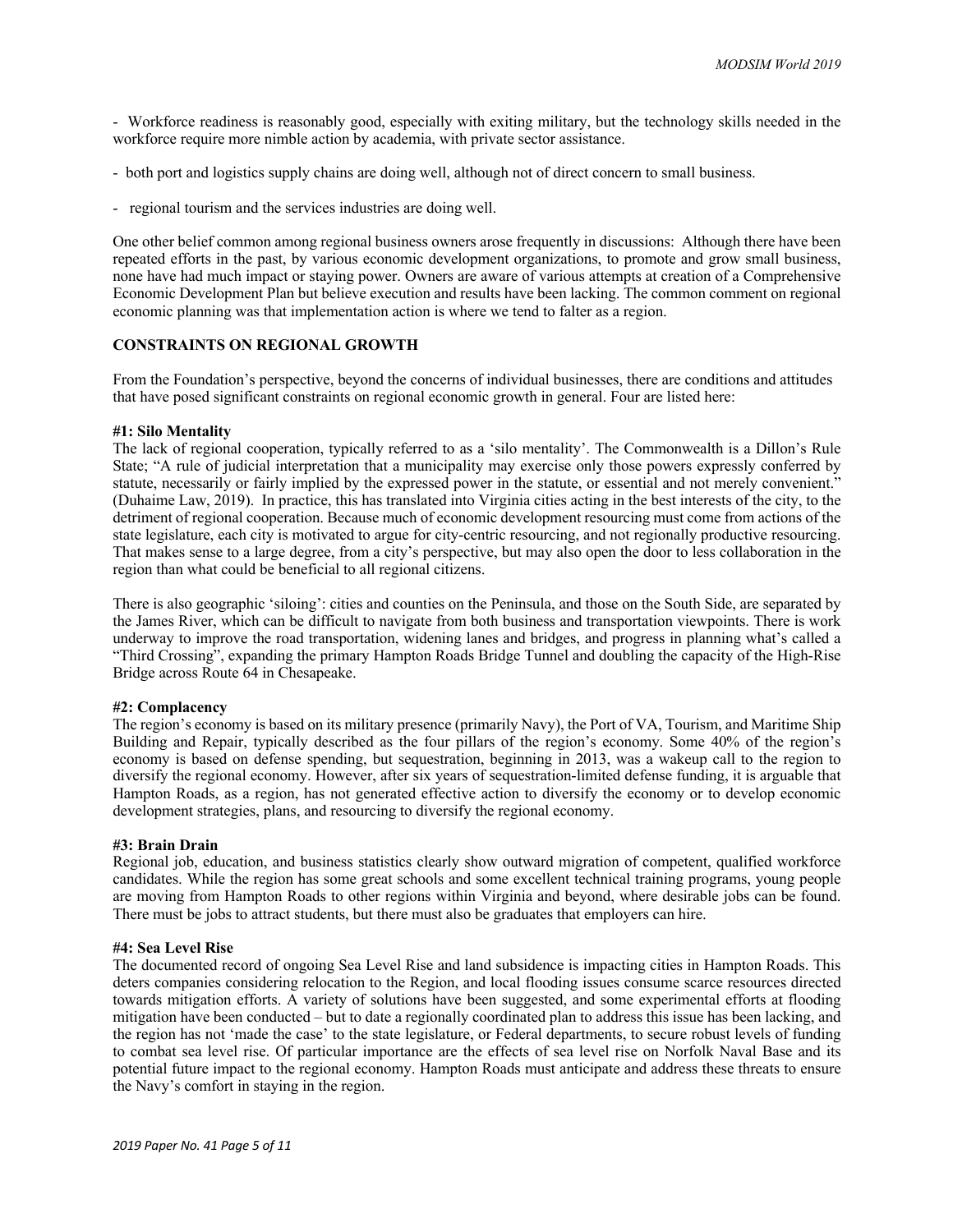- Workforce readiness is reasonably good, especially with exiting military, but the technology skills needed in the workforce require more nimble action by academia, with private sector assistance.

- both port and logistics supply chains are doing well, although not of direct concern to small business.
- regional tourism and the services industries are doing well.

One other belief common among regional business owners arose frequently in discussions: Although there have been repeated efforts in the past, by various economic development organizations, to promote and grow small business, none have had much impact or staying power. Owners are aware of various attempts at creation of a Comprehensive Economic Development Plan but believe execution and results have been lacking. The common comment on regional economic planning was that implementation action is where we tend to falter as a region.

#### **CONSTRAINTS ON REGIONAL GROWTH**

From the Foundation's perspective, beyond the concerns of individual businesses, there are conditions and attitudes that have posed significant constraints on regional economic growth in general. Four are listed here:

#### **#1: Silo Mentality**

The lack of regional cooperation, typically referred to as a 'silo mentality'. The Commonwealth is a Dillon's Rule State; "A rule of judicial interpretation that a municipality may exercise only those powers expressly conferred by statute, necessarily or fairly implied by the expressed power in the statute, or essential and not merely convenient." (Duhaime Law, 2019). In practice, this has translated into Virginia cities acting in the best interests of the city, to the detriment of regional cooperation. Because much of economic development resourcing must come from actions of the state legislature, each city is motivated to argue for city-centric resourcing, and not regionally productive resourcing. That makes sense to a large degree, from a city's perspective, but may also open the door to less collaboration in the region than what could be beneficial to all regional citizens.

There is also geographic 'siloing': cities and counties on the Peninsula, and those on the South Side, are separated by the James River, which can be difficult to navigate from both business and transportation viewpoints. There is work underway to improve the road transportation, widening lanes and bridges, and progress in planning what's called a "Third Crossing", expanding the primary Hampton Roads Bridge Tunnel and doubling the capacity of the High-Rise Bridge across Route 64 in Chesapeake.

#### **#2: Complacency**

The region's economy is based on its military presence (primarily Navy), the Port of VA, Tourism, and Maritime Ship Building and Repair, typically described as the four pillars of the region's economy. Some 40% of the region's economy is based on defense spending, but sequestration, beginning in 2013, was a wakeup call to the region to diversify the regional economy. However, after six years of sequestration-limited defense funding, it is arguable that Hampton Roads, as a region, has not generated effective action to diversify the economy or to develop economic development strategies, plans, and resourcing to diversify the regional economy.

#### **#3: Brain Drain**

Regional job, education, and business statistics clearly show outward migration of competent, qualified workforce candidates. While the region has some great schools and some excellent technical training programs, young people are moving from Hampton Roads to other regions within Virginia and beyond, where desirable jobs can be found. There must be jobs to attract students, but there must also be graduates that employers can hire.

#### **#4: Sea Level Rise**

The documented record of ongoing Sea Level Rise and land subsidence is impacting cities in Hampton Roads. This deters companies considering relocation to the Region, and local flooding issues consume scarce resources directed towards mitigation efforts. A variety of solutions have been suggested, and some experimental efforts at flooding mitigation have been conducted – but to date a regionally coordinated plan to address this issue has been lacking, and the region has not 'made the case' to the state legislature, or Federal departments, to secure robust levels of funding to combat sea level rise. Of particular importance are the effects of sea level rise on Norfolk Naval Base and its potential future impact to the regional economy. Hampton Roads must anticipate and address these threats to ensure the Navy's comfort in staying in the region.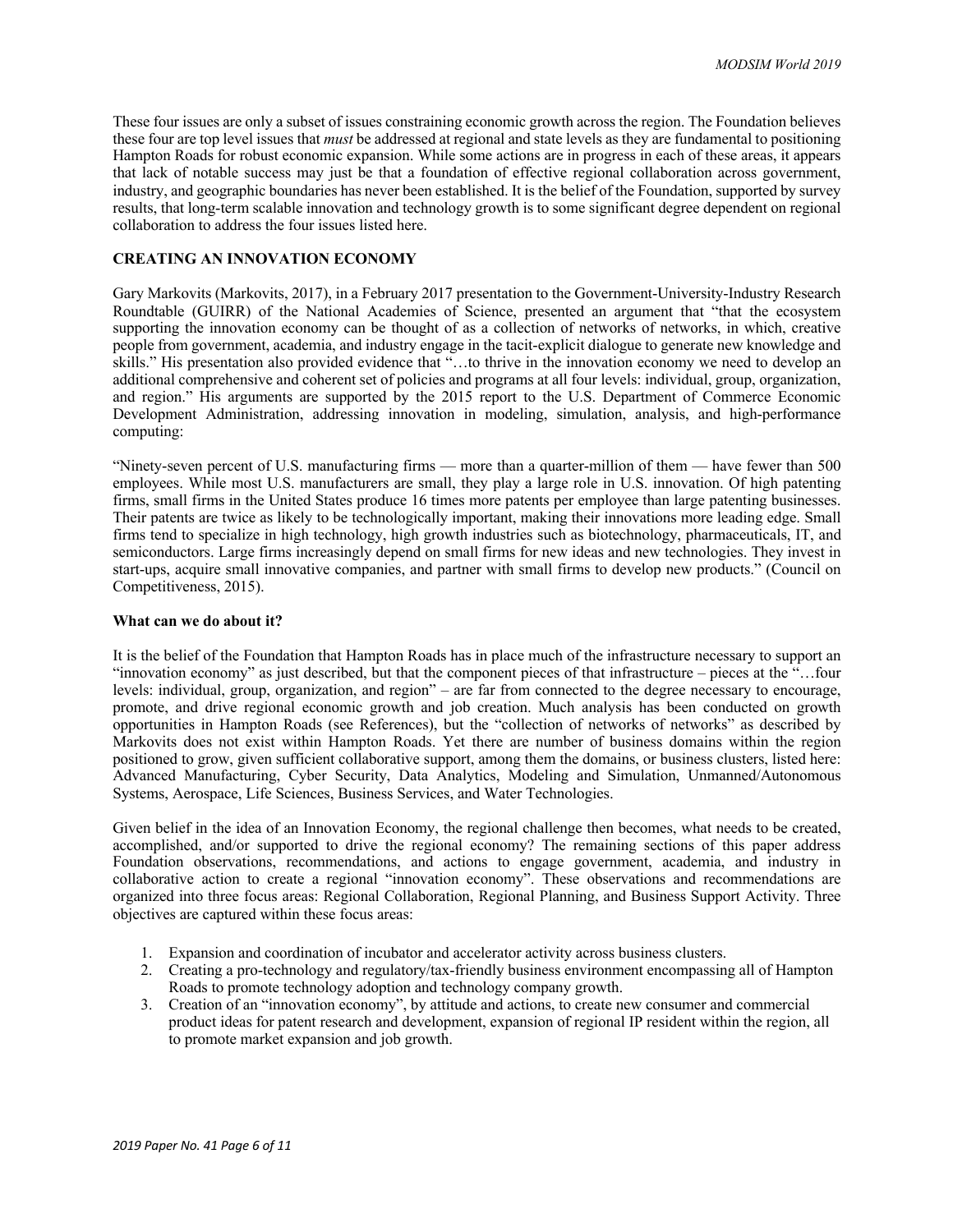These four issues are only a subset of issues constraining economic growth across the region. The Foundation believes these four are top level issues that *must* be addressed at regional and state levels as they are fundamental to positioning Hampton Roads for robust economic expansion. While some actions are in progress in each of these areas, it appears that lack of notable success may just be that a foundation of effective regional collaboration across government, industry, and geographic boundaries has never been established. It is the belief of the Foundation, supported by survey results, that long-term scalable innovation and technology growth is to some significant degree dependent on regional collaboration to address the four issues listed here.

#### **CREATING AN INNOVATION ECONOMY**

Gary Markovits (Markovits, 2017), in a February 2017 presentation to the Government-University-Industry Research Roundtable (GUIRR) of the National Academies of Science, presented an argument that "that the ecosystem supporting the innovation economy can be thought of as a collection of networks of networks, in which, creative people from government, academia, and industry engage in the tacit-explicit dialogue to generate new knowledge and skills." His presentation also provided evidence that "…to thrive in the innovation economy we need to develop an additional comprehensive and coherent set of policies and programs at all four levels: individual, group, organization, and region." His arguments are supported by the 2015 report to the U.S. Department of Commerce Economic Development Administration, addressing innovation in modeling, simulation, analysis, and high-performance computing:

"Ninety-seven percent of U.S. manufacturing firms — more than a quarter-million of them — have fewer than 500 employees. While most U.S. manufacturers are small, they play a large role in U.S. innovation. Of high patenting firms, small firms in the United States produce 16 times more patents per employee than large patenting businesses. Their patents are twice as likely to be technologically important, making their innovations more leading edge. Small firms tend to specialize in high technology, high growth industries such as biotechnology, pharmaceuticals, IT, and semiconductors. Large firms increasingly depend on small firms for new ideas and new technologies. They invest in start-ups, acquire small innovative companies, and partner with small firms to develop new products." (Council on Competitiveness, 2015).

#### **What can we do about it?**

It is the belief of the Foundation that Hampton Roads has in place much of the infrastructure necessary to support an "innovation economy" as just described, but that the component pieces of that infrastructure – pieces at the "…four levels: individual, group, organization, and region" – are far from connected to the degree necessary to encourage, promote, and drive regional economic growth and job creation. Much analysis has been conducted on growth opportunities in Hampton Roads (see References), but the "collection of networks of networks" as described by Markovits does not exist within Hampton Roads. Yet there are number of business domains within the region positioned to grow, given sufficient collaborative support, among them the domains, or business clusters, listed here: Advanced Manufacturing, Cyber Security, Data Analytics, Modeling and Simulation, Unmanned/Autonomous Systems, Aerospace, Life Sciences, Business Services, and Water Technologies.

Given belief in the idea of an Innovation Economy, the regional challenge then becomes, what needs to be created, accomplished, and/or supported to drive the regional economy? The remaining sections of this paper address Foundation observations, recommendations, and actions to engage government, academia, and industry in collaborative action to create a regional "innovation economy". These observations and recommendations are organized into three focus areas: Regional Collaboration, Regional Planning, and Business Support Activity. Three objectives are captured within these focus areas:

- 1. Expansion and coordination of incubator and accelerator activity across business clusters.
- 2. Creating a pro-technology and regulatory/tax-friendly business environment encompassing all of Hampton Roads to promote technology adoption and technology company growth.
- 3. Creation of an "innovation economy", by attitude and actions, to create new consumer and commercial product ideas for patent research and development, expansion of regional IP resident within the region, all to promote market expansion and job growth.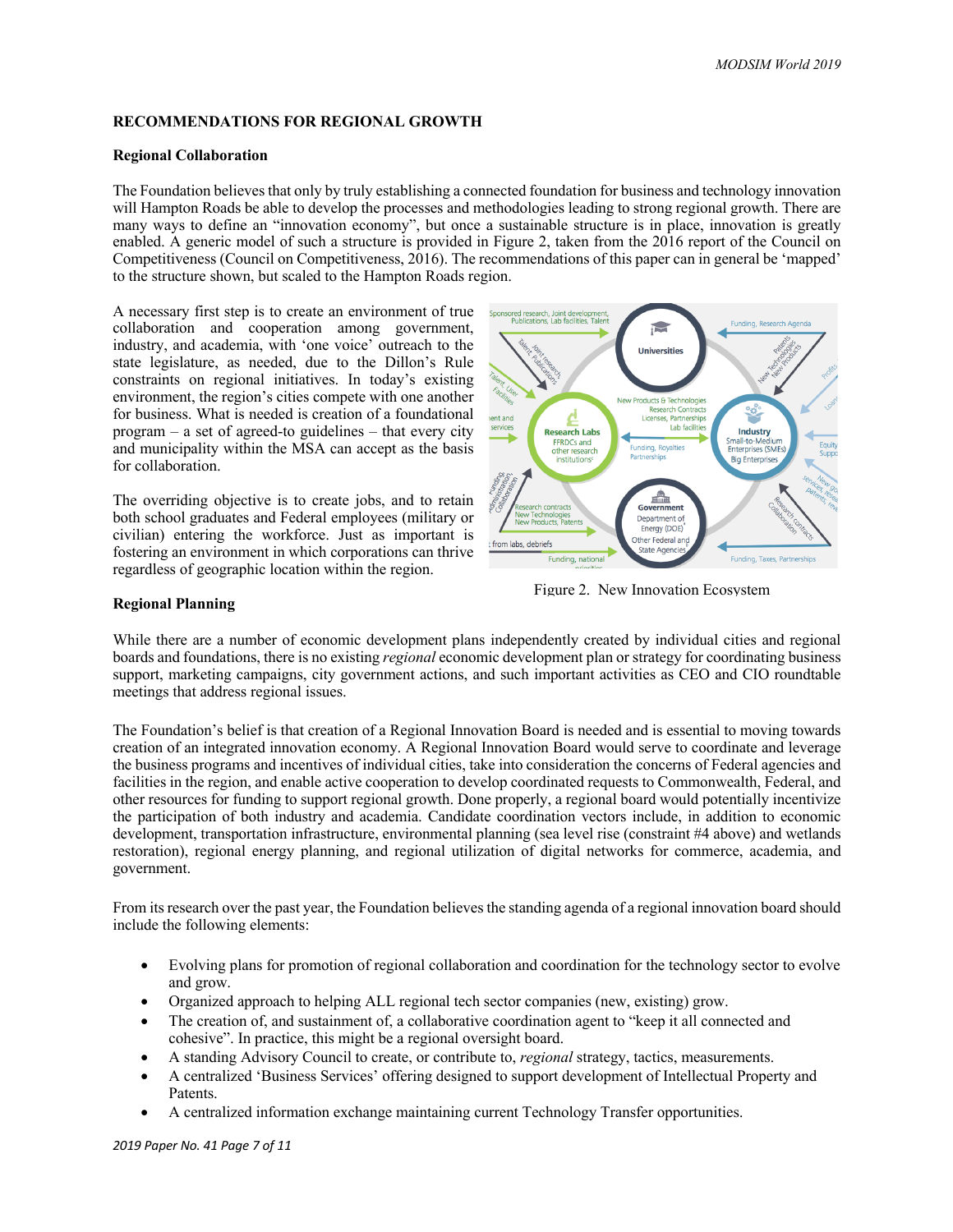## **RECOMMENDATIONS FOR REGIONAL GROWTH**

#### **Regional Collaboration**

The Foundation believes that only by truly establishing a connected foundation for business and technology innovation will Hampton Roads be able to develop the processes and methodologies leading to strong regional growth. There are many ways to define an "innovation economy", but once a sustainable structure is in place, innovation is greatly enabled. A generic model of such a structure is provided in Figure 2, taken from the 2016 report of the Council on Competitiveness (Council on Competitiveness, 2016). The recommendations of this paper can in general be 'mapped' to the structure shown, but scaled to the Hampton Roads region.

A necessary first step is to create an environment of true collaboration and cooperation among government, industry, and academia, with 'one voice' outreach to the state legislature, as needed, due to the Dillon's Rule constraints on regional initiatives. In today's existing environment, the region's cities compete with one another for business. What is needed is creation of a foundational program – a set of agreed-to guidelines – that every city and municipality within the MSA can accept as the basis for collaboration.

The overriding objective is to create jobs, and to retain both school graduates and Federal employees (military or civilian) entering the workforce. Just as important is fostering an environment in which corporations can thrive regardless of geographic location within the region.



Figure 2. New Innovation Ecosystem

#### **Regional Planning**

While there are a number of economic development plans independently created by individual cities and regional boards and foundations, there is no existing *regional* economic development plan or strategy for coordinating business support, marketing campaigns, city government actions, and such important activities as CEO and CIO roundtable meetings that address regional issues.

The Foundation's belief is that creation of a Regional Innovation Board is needed and is essential to moving towards creation of an integrated innovation economy. A Regional Innovation Board would serve to coordinate and leverage the business programs and incentives of individual cities, take into consideration the concerns of Federal agencies and facilities in the region, and enable active cooperation to develop coordinated requests to Commonwealth, Federal, and other resources for funding to support regional growth. Done properly, a regional board would potentially incentivize the participation of both industry and academia. Candidate coordination vectors include, in addition to economic development, transportation infrastructure, environmental planning (sea level rise (constraint #4 above) and wetlands restoration), regional energy planning, and regional utilization of digital networks for commerce, academia, and government.

From its research over the past year, the Foundation believes the standing agenda of a regional innovation board should include the following elements:

- Evolving plans for promotion of regional collaboration and coordination for the technology sector to evolve and grow.
- Organized approach to helping ALL regional tech sector companies (new, existing) grow.
- The creation of, and sustainment of, a collaborative coordination agent to "keep it all connected and cohesive". In practice, this might be a regional oversight board.
- A standing Advisory Council to create, or contribute to, *regional* strategy, tactics, measurements.
- A centralized 'Business Services' offering designed to support development of Intellectual Property and Patents.
- A centralized information exchange maintaining current Technology Transfer opportunities.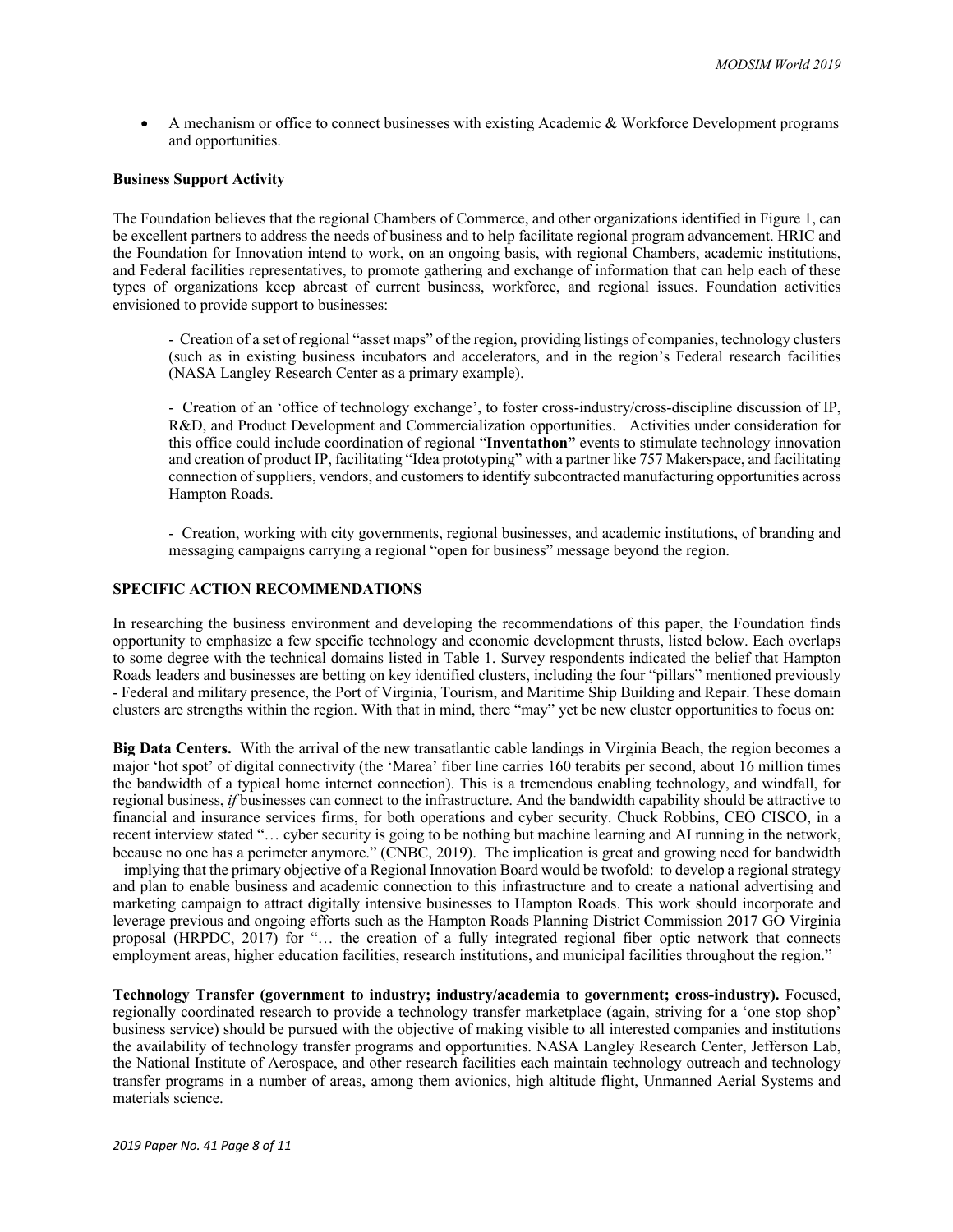• A mechanism or office to connect businesses with existing Academic & Workforce Development programs and opportunities.

#### **Business Support Activity**

The Foundation believes that the regional Chambers of Commerce, and other organizations identified in Figure 1, can be excellent partners to address the needs of business and to help facilitate regional program advancement. HRIC and the Foundation for Innovation intend to work, on an ongoing basis, with regional Chambers, academic institutions, and Federal facilities representatives, to promote gathering and exchange of information that can help each of these types of organizations keep abreast of current business, workforce, and regional issues. Foundation activities envisioned to provide support to businesses:

- Creation of a set of regional "asset maps" of the region, providing listings of companies, technology clusters (such as in existing business incubators and accelerators, and in the region's Federal research facilities (NASA Langley Research Center as a primary example).

- Creation of an 'office of technology exchange', to foster cross-industry/cross-discipline discussion of IP, R&D, and Product Development and Commercialization opportunities. Activities under consideration for this office could include coordination of regional "**Inventathon"** events to stimulate technology innovation and creation of product IP, facilitating "Idea prototyping" with a partner like 757 Makerspace, and facilitating connection of suppliers, vendors, and customers to identify subcontracted manufacturing opportunities across Hampton Roads.

- Creation, working with city governments, regional businesses, and academic institutions, of branding and messaging campaigns carrying a regional "open for business" message beyond the region.

#### **SPECIFIC ACTION RECOMMENDATIONS**

In researching the business environment and developing the recommendations of this paper, the Foundation finds opportunity to emphasize a few specific technology and economic development thrusts, listed below. Each overlaps to some degree with the technical domains listed in Table 1. Survey respondents indicated the belief that Hampton Roads leaders and businesses are betting on key identified clusters, including the four "pillars" mentioned previously - Federal and military presence, the Port of Virginia, Tourism, and Maritime Ship Building and Repair. These domain clusters are strengths within the region. With that in mind, there "may" yet be new cluster opportunities to focus on:

**Big Data Centers.** With the arrival of the new transatlantic cable landings in Virginia Beach, the region becomes a major 'hot spot' of digital connectivity (the 'Marea' fiber line carries 160 terabits per second, about 16 million times the bandwidth of a typical home internet connection). This is a tremendous enabling technology, and windfall, for regional business, *if* businesses can connect to the infrastructure. And the bandwidth capability should be attractive to financial and insurance services firms, for both operations and cyber security. Chuck Robbins, CEO CISCO, in a recent interview stated "… cyber security is going to be nothing but machine learning and AI running in the network, because no one has a perimeter anymore." (CNBC, 2019). The implication is great and growing need for bandwidth – implying that the primary objective of a Regional Innovation Board would be twofold: to develop a regional strategy and plan to enable business and academic connection to this infrastructure and to create a national advertising and marketing campaign to attract digitally intensive businesses to Hampton Roads. This work should incorporate and leverage previous and ongoing efforts such as the Hampton Roads Planning District Commission 2017 GO Virginia proposal (HRPDC, 2017) for "… the creation of a fully integrated regional fiber optic network that connects employment areas, higher education facilities, research institutions, and municipal facilities throughout the region."

**Technology Transfer (government to industry; industry/academia to government; cross-industry).** Focused, regionally coordinated research to provide a technology transfer marketplace (again, striving for a 'one stop shop' business service) should be pursued with the objective of making visible to all interested companies and institutions the availability of technology transfer programs and opportunities. NASA Langley Research Center, Jefferson Lab, the National Institute of Aerospace, and other research facilities each maintain technology outreach and technology transfer programs in a number of areas, among them avionics, high altitude flight, Unmanned Aerial Systems and materials science.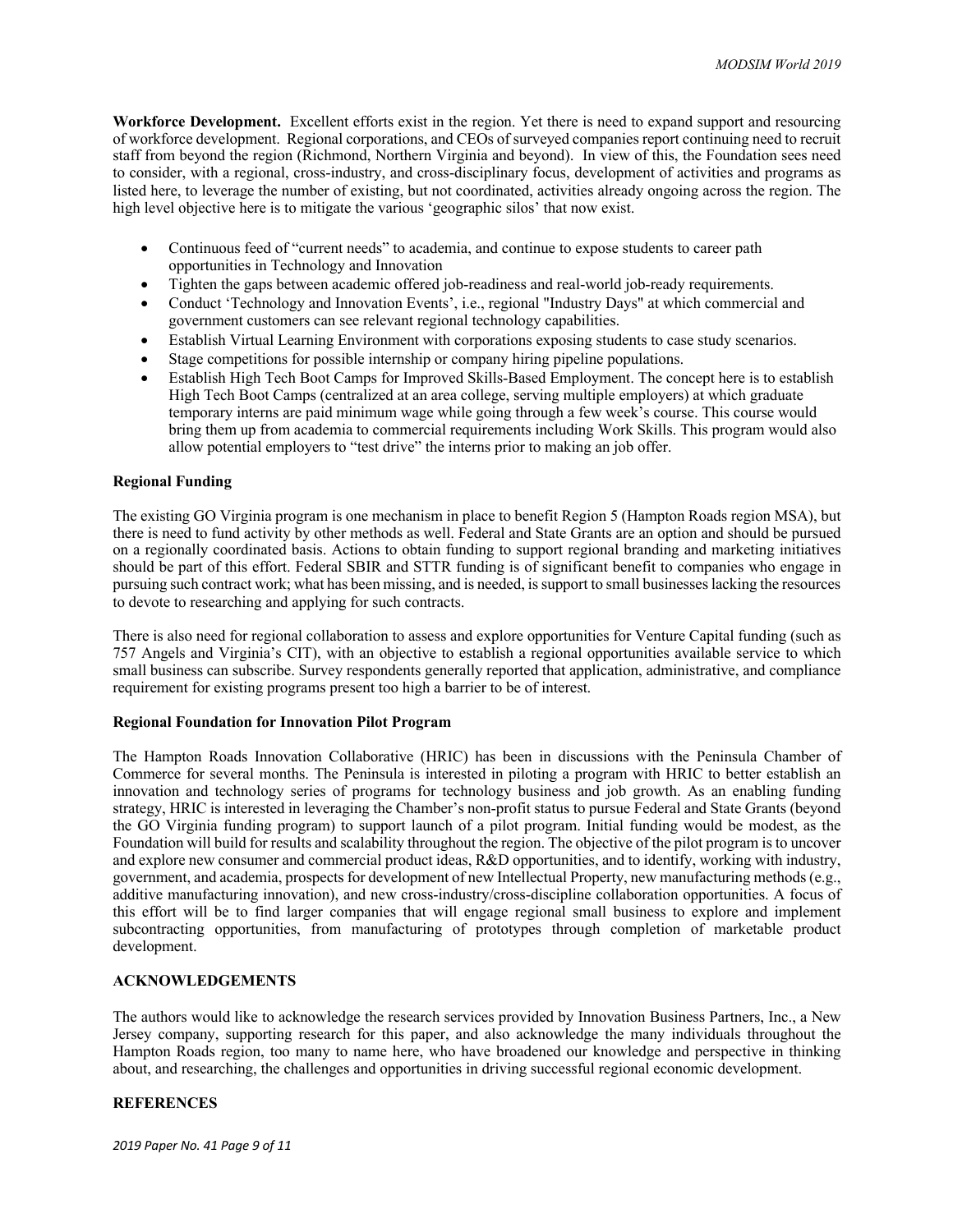**Workforce Development.** Excellent efforts exist in the region. Yet there is need to expand support and resourcing of workforce development. Regional corporations, and CEOs of surveyed companies report continuing need to recruit staff from beyond the region (Richmond, Northern Virginia and beyond). In view of this, the Foundation sees need to consider, with a regional, cross-industry, and cross-disciplinary focus, development of activities and programs as listed here, to leverage the number of existing, but not coordinated, activities already ongoing across the region. The high level objective here is to mitigate the various 'geographic silos' that now exist.

- Continuous feed of "current needs" to academia, and continue to expose students to career path opportunities in Technology and Innovation
- Tighten the gaps between academic offered job-readiness and real-world job-ready requirements.
- Conduct 'Technology and Innovation Events', i.e., regional "Industry Days" at which commercial and government customers can see relevant regional technology capabilities.
- Establish Virtual Learning Environment with corporations exposing students to case study scenarios.
- Stage competitions for possible internship or company hiring pipeline populations.
- Establish High Tech Boot Camps for Improved Skills-Based Employment. The concept here is to establish High Tech Boot Camps (centralized at an area college, serving multiple employers) at which graduate temporary interns are paid minimum wage while going through a few week's course. This course would bring them up from academia to commercial requirements including Work Skills. This program would also allow potential employers to "test drive" the interns prior to making an job offer.

#### **Regional Funding**

The existing GO Virginia program is one mechanism in place to benefit Region 5 (Hampton Roads region MSA), but there is need to fund activity by other methods as well. Federal and State Grants are an option and should be pursued on a regionally coordinated basis. Actions to obtain funding to support regional branding and marketing initiatives should be part of this effort. Federal SBIR and STTR funding is of significant benefit to companies who engage in pursuing such contract work; what has been missing, and is needed, is support to small businesses lacking the resources to devote to researching and applying for such contracts.

There is also need for regional collaboration to assess and explore opportunities for Venture Capital funding (such as 757 Angels and Virginia's CIT), with an objective to establish a regional opportunities available service to which small business can subscribe. Survey respondents generally reported that application, administrative, and compliance requirement for existing programs present too high a barrier to be of interest.

#### **Regional Foundation for Innovation Pilot Program**

The Hampton Roads Innovation Collaborative (HRIC) has been in discussions with the Peninsula Chamber of Commerce for several months. The Peninsula is interested in piloting a program with HRIC to better establish an innovation and technology series of programs for technology business and job growth. As an enabling funding strategy, HRIC is interested in leveraging the Chamber's non-profit status to pursue Federal and State Grants (beyond the GO Virginia funding program) to support launch of a pilot program. Initial funding would be modest, as the Foundation will build for results and scalability throughout the region. The objective of the pilot program is to uncover and explore new consumer and commercial product ideas, R&D opportunities, and to identify, working with industry, government, and academia, prospects for development of new Intellectual Property, new manufacturing methods (e.g., additive manufacturing innovation), and new cross-industry/cross-discipline collaboration opportunities. A focus of this effort will be to find larger companies that will engage regional small business to explore and implement subcontracting opportunities, from manufacturing of prototypes through completion of marketable product development.

#### **ACKNOWLEDGEMENTS**

The authors would like to acknowledge the research services provided by Innovation Business Partners, Inc., a New Jersey company, supporting research for this paper, and also acknowledge the many individuals throughout the Hampton Roads region, too many to name here, who have broadened our knowledge and perspective in thinking about, and researching, the challenges and opportunities in driving successful regional economic development.

## **REFERENCES**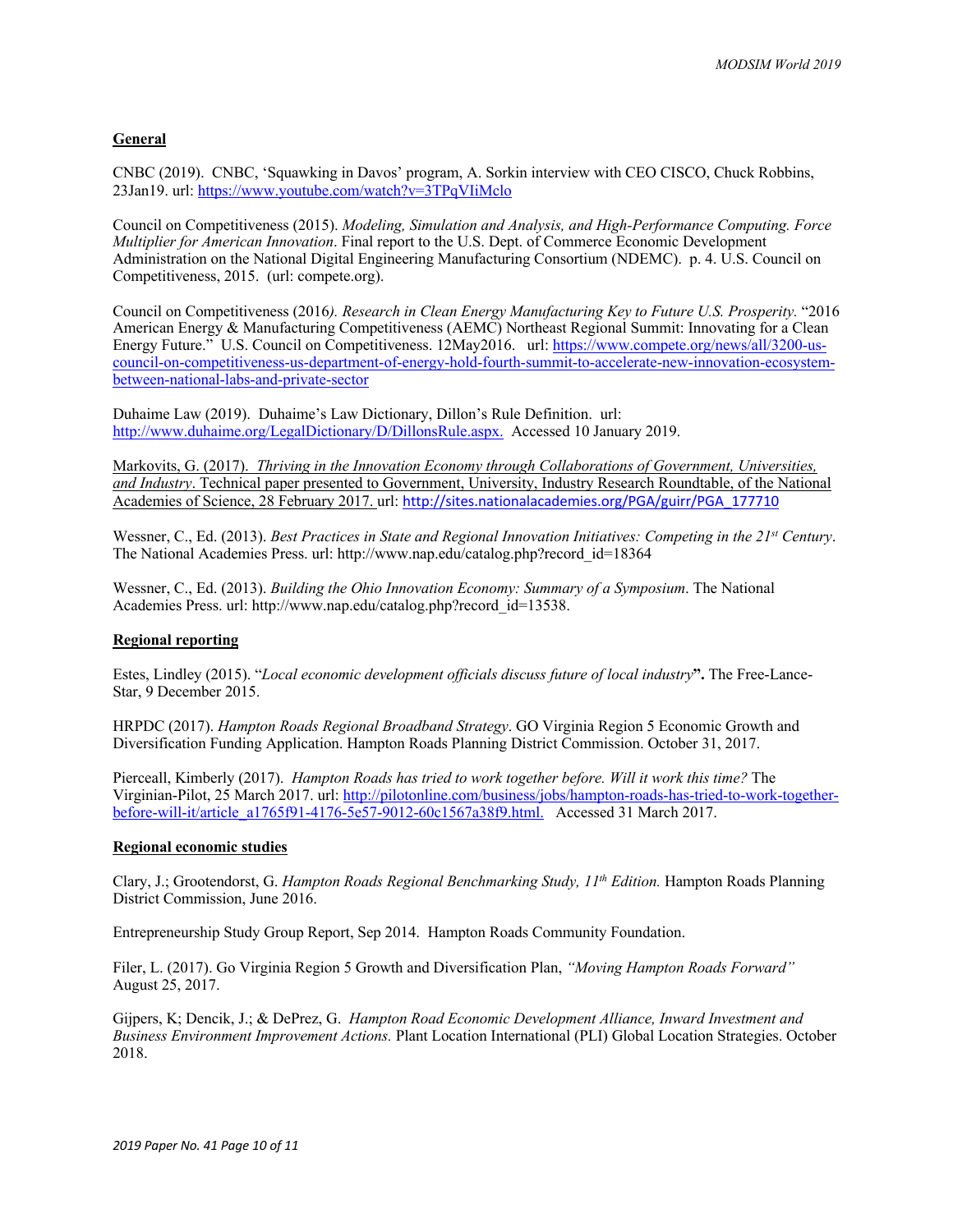# **General**

CNBC (2019). CNBC, 'Squawking in Davos' program, A. Sorkin interview with CEO CISCO, Chuck Robbins, 23Jan19. url: https://www.youtube.com/watch?v=3TPqVIiMclo

Council on Competitiveness (2015). *Modeling, Simulation and Analysis, and High-Performance Computing. Force Multiplier for American Innovation*. Final report to the U.S. Dept. of Commerce Economic Development Administration on the National Digital Engineering Manufacturing Consortium (NDEMC). p. 4. U.S. Council on Competitiveness, 2015. (url: compete.org).

Council on Competitiveness (2016*). Research in Clean Energy Manufacturing Key to Future U.S. Prosperity.* "2016 American Energy & Manufacturing Competitiveness (AEMC) Northeast Regional Summit: Innovating for a Clean Energy Future." U.S. Council on Competitiveness. 12May2016. url: https://www.compete.org/news/all/3200-uscouncil-on-competitiveness-us-department-of-energy-hold-fourth-summit-to-accelerate-new-innovation-ecosystembetween-national-labs-and-private-sector

Duhaime Law (2019). Duhaime's Law Dictionary, Dillon's Rule Definition. url: http://www.duhaime.org/LegalDictionary/D/DillonsRule.aspx. Accessed 10 January 2019.

Markovits, G. (2017). *Thriving in the Innovation Economy through Collaborations of Government, Universities, and Industry*. Technical paper presented to Government, University, Industry Research Roundtable, of the National Academies of Science, 28 February 2017. url: http://sites.nationalacademies.org/PGA/guirr/PGA\_177710

Wessner, C., Ed. (2013). *Best Practices in State and Regional Innovation Initiatives: Competing in the 21<sup>st</sup> Century.* The National Academies Press. url: http://www.nap.edu/catalog.php?record\_id=18364

Wessner, C., Ed. (2013). *Building the Ohio Innovation Economy: Summary of a Symposium*. The National Academies Press. url: http://www.nap.edu/catalog.php?record\_id=13538.

#### **Regional reporting**

Estes, Lindley (2015). "*Local economic development officials discuss future of local industry***".** The Free-Lance-Star, 9 December 2015.

HRPDC (2017). *Hampton Roads Regional Broadband Strategy*. GO Virginia Region 5 Economic Growth and Diversification Funding Application. Hampton Roads Planning District Commission. October 31, 2017.

Pierceall, Kimberly (2017). *Hampton Roads has tried to work together before. Will it work this time?* The Virginian-Pilot, 25 March 2017. url: http://pilotonline.com/business/jobs/hampton-roads-has-tried-to-work-togetherbefore-will-it/article\_a1765f91-4176-5e57-9012-60c1567a38f9.html. Accessed 31 March 2017.

#### **Regional economic studies**

Clary, J.; Grootendorst, G. *Hampton Roads Regional Benchmarking Study, 11th Edition.* Hampton Roads Planning District Commission, June 2016.

Entrepreneurship Study Group Report, Sep 2014. Hampton Roads Community Foundation.

Filer, L. (2017). Go Virginia Region 5 Growth and Diversification Plan, *"Moving Hampton Roads Forward"* August 25, 2017.

Gijpers, K; Dencik, J.; & DePrez, G. *Hampton Road Economic Development Alliance, Inward Investment and Business Environment Improvement Actions.* Plant Location International (PLI) Global Location Strategies. October 2018.